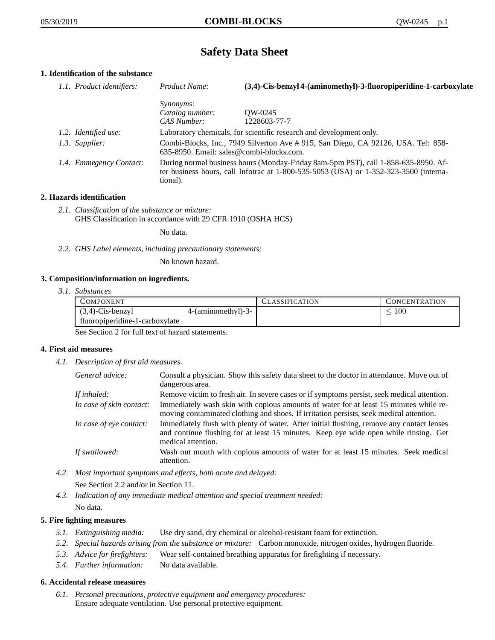# **Safety Data Sheet**

# **1. Identification of the substance**

| 1.1. Product identifiers: | Product Name:                                                                                                                                                                           | (3,4)-Cis-benzyl 4-(aminomethyl)-3-fluoropiperidine-1-carboxylate |
|---------------------------|-----------------------------------------------------------------------------------------------------------------------------------------------------------------------------------------|-------------------------------------------------------------------|
|                           | <i>Synonyms:</i>                                                                                                                                                                        |                                                                   |
|                           | Catalog number:                                                                                                                                                                         | OW-0245                                                           |
|                           | CAS Number:                                                                                                                                                                             | 1228603-77-7                                                      |
| 1.2. Identified use:      | Laboratory chemicals, for scientific research and development only.                                                                                                                     |                                                                   |
| 1.3. Supplier:            | Combi-Blocks, Inc., 7949 Silverton Ave #915, San Diego, CA 92126, USA. Tel: 858-<br>635-8950. Email: sales@combi-blocks.com.                                                            |                                                                   |
| 1.4. Emmegency Contact:   | During normal business hours (Monday-Friday 8am-5pm PST), call 1-858-635-8950. Af-<br>ter business hours, call Infotrac at 1-800-535-5053 (USA) or 1-352-323-3500 (interna-<br>tional). |                                                                   |

## **2. Hazards identification**

*2.1. Classification of the substance or mixture:* GHS Classification in accordance with 29 CFR 1910 (OSHA HCS)

No data.

*2.2. GHS Label elements, including precautionary statements:*

No known hazard.

## **3. Composition/information on ingredients.**

*3.1. Substances*

| <b>COMPONENT</b>               |                    | <b>CLASSIFICATION</b> | <b>CONCENTRATION</b> |
|--------------------------------|--------------------|-----------------------|----------------------|
| $(3,4)$ -Cis-benzyl            | 4-(aminomethyl)-3- |                       | 100                  |
| fluoropiperidine-1-carboxylate |                    |                       |                      |

See Section 2 for full text of hazard statements.

## **4. First aid measures**

*4.1. Description of first aid measures.*

| General advice:          | Consult a physician. Show this safety data sheet to the doctor in attendance. Move out of<br>dangerous area.                                                                                            |
|--------------------------|---------------------------------------------------------------------------------------------------------------------------------------------------------------------------------------------------------|
| If inhaled:              | Remove victim to fresh air. In severe cases or if symptoms persist, seek medical attention.                                                                                                             |
| In case of skin contact: | Immediately wash skin with copious amounts of water for at least 15 minutes while re-<br>moving contaminated clothing and shoes. If irritation persists, seek medical attention.                        |
| In case of eye contact:  | Immediately flush with plenty of water. After initial flushing, remove any contact lenses<br>and continue flushing for at least 15 minutes. Keep eye wide open while rinsing. Get<br>medical attention. |
| If swallowed:            | Wash out mouth with copious amounts of water for at least 15 minutes. Seek medical<br>attention.                                                                                                        |

- *4.2. Most important symptoms and effects, both acute and delayed:* See Section 2.2 and/or in Section 11.
- *4.3. Indication of any immediate medical attention and special treatment needed:* No data.

## **5. Fire fighting measures**

- *5.1. Extinguishing media:* Use dry sand, dry chemical or alcohol-resistant foam for extinction.
- *5.2. Special hazards arising from the substance or mixture:* Carbon monoxide, nitrogen oxides, hydrogen fluoride.
- *5.3. Advice for firefighters:* Wear self-contained breathing apparatus for firefighting if necessary.
- *5.4. Further information:* No data available.

## **6. Accidental release measures**

*6.1. Personal precautions, protective equipment and emergency procedures:* Ensure adequate ventilation. Use personal protective equipment.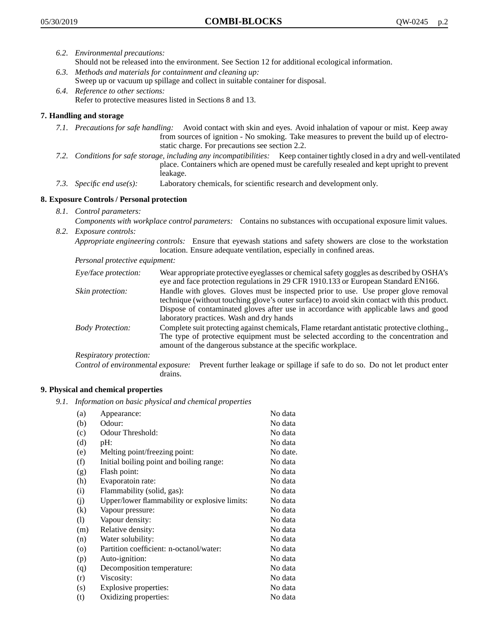- *6.2. Environmental precautions:* Should not be released into the environment. See Section 12 for additional ecological information.
- *6.3. Methods and materials for containment and cleaning up:* Sweep up or vacuum up spillage and collect in suitable container for disposal.
- *6.4. Reference to other sections:* Refer to protective measures listed in Sections 8 and 13.

# **7. Handling and storage**

- *7.1. Precautions for safe handling:* Avoid contact with skin and eyes. Avoid inhalation of vapour or mist. Keep away from sources of ignition - No smoking. Take measures to prevent the build up of electrostatic charge. For precautions see section 2.2.
- *7.2. Conditions for safe storage, including any incompatibilities:* Keep container tightly closed in a dry and well-ventilated place. Containers which are opened must be carefully resealed and kept upright to prevent leakage.
- *7.3. Specific end use(s):* Laboratory chemicals, for scientific research and development only.

# **8. Exposure Controls / Personal protection**

- *8.1. Control parameters:*
- *Components with workplace control parameters:* Contains no substances with occupational exposure limit values. *8.2. Exposure controls:*

*Appropriate engineering controls:* Ensure that eyewash stations and safety showers are close to the workstation location. Ensure adequate ventilation, especially in confined areas.

*Personal protective equipment:*

| Eye/face protection:    | Wear appropriate protective eyeglasses or chemical safety goggles as described by OSHA's<br>eye and face protection regulations in 29 CFR 1910.133 or European Standard EN166.                                                                                                                                         |
|-------------------------|------------------------------------------------------------------------------------------------------------------------------------------------------------------------------------------------------------------------------------------------------------------------------------------------------------------------|
| Skin protection:        | Handle with gloves. Gloves must be inspected prior to use. Use proper glove removal<br>technique (without touching glove's outer surface) to avoid skin contact with this product.<br>Dispose of contaminated gloves after use in accordance with applicable laws and good<br>laboratory practices. Wash and dry hands |
| <b>Body Protection:</b> | Complete suit protecting against chemicals, Flame retardant antistatic protective clothing.,<br>The type of protective equipment must be selected according to the concentration and<br>amount of the dangerous substance at the specific workplace.                                                                   |
| Respiratory protection: |                                                                                                                                                                                                                                                                                                                        |

Control of environmental exposure: Prevent further leakage or spillage if safe to do so. Do not let product enter drains.

## **9. Physical and chemical properties**

*9.1. Information on basic physical and chemical properties*

| (a)                        | Appearance:                                   | No data  |
|----------------------------|-----------------------------------------------|----------|
| (b)                        | Odour:                                        | No data  |
| (c)                        | Odour Threshold:                              | No data  |
| (d)                        | pH:                                           | No data  |
| (e)                        | Melting point/freezing point:                 | No date. |
| (f)                        | Initial boiling point and boiling range:      | No data  |
| (g)                        | Flash point:                                  | No data  |
| (h)                        | Evaporatoin rate:                             | No data  |
| (i)                        | Flammability (solid, gas):                    | No data  |
| (j)                        | Upper/lower flammability or explosive limits: | No data  |
| (k)                        | Vapour pressure:                              | No data  |
| $\left( \mathrm{l}\right)$ | Vapour density:                               | No data  |
| (m)                        | Relative density:                             | No data  |
| (n)                        | Water solubility:                             | No data  |
| $\circ$                    | Partition coefficient: n-octanol/water:       | No data  |
| (p)                        | Auto-ignition:                                | No data  |
| (q)                        | Decomposition temperature:                    | No data  |
| (r)                        | Viscosity:                                    | No data  |
| (s)                        | Explosive properties:                         | No data  |
| (t)                        | Oxidizing properties:                         | No data  |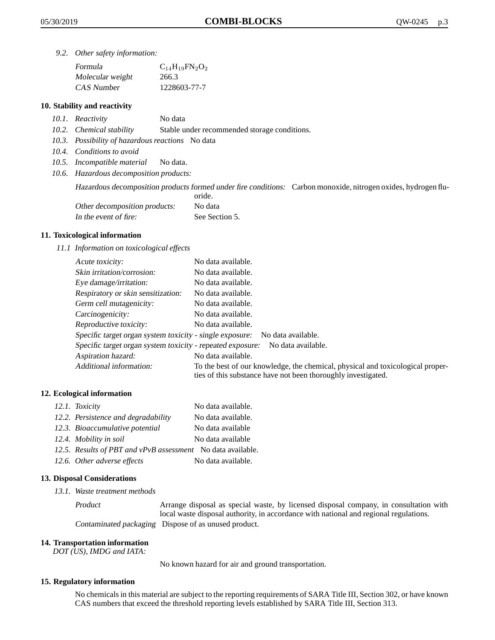*9.2. Other safety information:*

| Formula          | $C_{14}H_{19}FN_{2}O_{2}$ |
|------------------|---------------------------|
| Molecular weight | 266.3                     |
| CAS Number       | 1228603-77-7              |

## **10. Stability and reactivity**

- *10.1. Reactivity* No data
- *10.2. Chemical stability* Stable under recommended storage conditions.
- *10.3. Possibility of hazardous reactions* No data
- *10.4. Conditions to avoid*
- *10.5. Incompatible material* No data.
- *10.6. Hazardous decomposition products:*

Hazardous decomposition products formed under fire conditions: Carbon monoxide, nitrogen oxides, hydrogen flu-

|                               | oride.         |
|-------------------------------|----------------|
| Other decomposition products: | No data        |
| In the event of fire:         | See Section 5. |

### **11. Toxicological information**

*11.1 Information on toxicological effects*

| Acute toxicity:                                            | No data available.                                                                                                                              |
|------------------------------------------------------------|-------------------------------------------------------------------------------------------------------------------------------------------------|
| Skin irritation/corrosion:                                 | No data available.                                                                                                                              |
| Eye damage/irritation:                                     | No data available.                                                                                                                              |
| Respiratory or skin sensitization:                         | No data available.                                                                                                                              |
| Germ cell mutagenicity:                                    | No data available.                                                                                                                              |
| Carcinogenicity:                                           | No data available.                                                                                                                              |
| Reproductive toxicity:                                     | No data available.                                                                                                                              |
| Specific target organ system toxicity - single exposure:   | No data available.                                                                                                                              |
| Specific target organ system toxicity - repeated exposure: | No data available.                                                                                                                              |
| Aspiration hazard:                                         | No data available.                                                                                                                              |
| Additional information:                                    | To the best of our knowledge, the chemical, physical and toxicological proper-<br>ties of this substance have not been thoroughly investigated. |

## **12. Ecological information**

| 12.1. Toxicity                                              | No data available. |
|-------------------------------------------------------------|--------------------|
| 12.2. Persistence and degradability                         | No data available. |
| 12.3. Bioaccumulative potential                             | No data available  |
| 12.4. Mobility in soil                                      | No data available  |
| 12.5. Results of PBT and vPvB assessment No data available. |                    |
| 12.6. Other adverse effects                                 | No data available. |

## **13. Disposal Considerations**

*13.1. Waste treatment methods*

Product Arrange disposal as special waste, by licensed disposal company, in consultation with local waste disposal authority, in accordance with national and regional regulations. Contaminated packaging Dispose of as unused product.

#### **14. Transportation information**

*DOT (US), IMDG and IATA:*

No known hazard for air and ground transportation.

## **15. Regulatory information**

No chemicals in this material are subject to the reporting requirements of SARA Title III, Section 302, or have known CAS numbers that exceed the threshold reporting levels established by SARA Title III, Section 313.